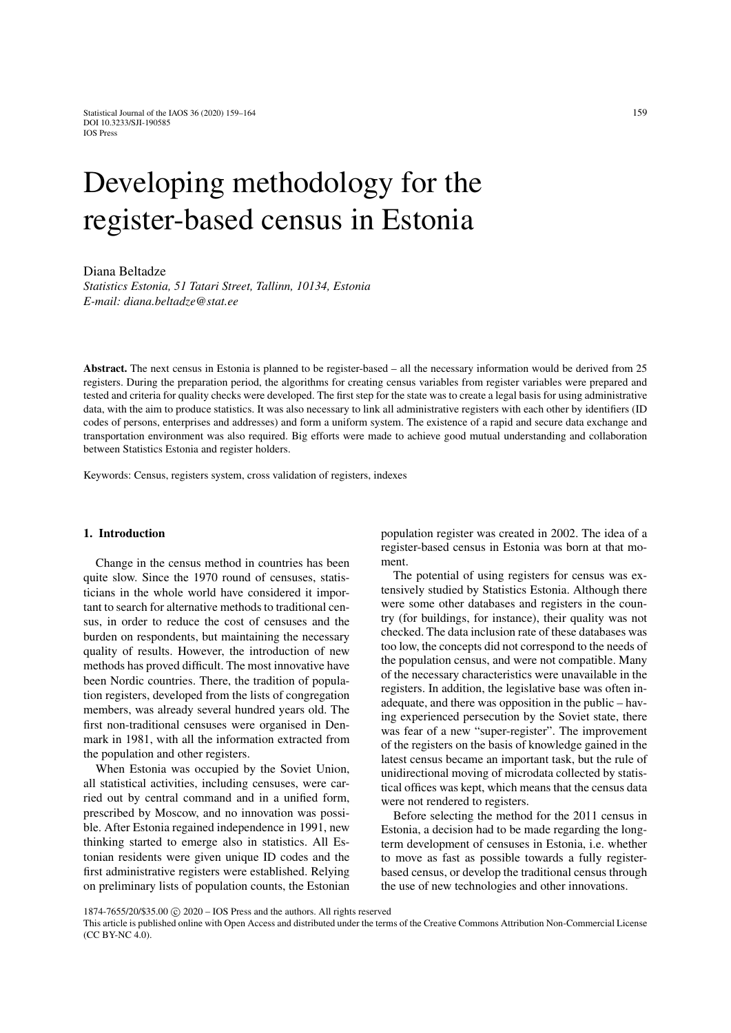# Developing methodology for the register-based census in Estonia

Diana Beltadze

*Statistics Estonia, 51 Tatari Street, Tallinn, 10134, Estonia E-mail: diana.beltadze@stat.ee*

Abstract. The next census in Estonia is planned to be register-based – all the necessary information would be derived from 25 registers. During the preparation period, the algorithms for creating census variables from register variables were prepared and tested and criteria for quality checks were developed. The first step for the state was to create a legal basis for using administrative data, with the aim to produce statistics. It was also necessary to link all administrative registers with each other by identifiers (ID codes of persons, enterprises and addresses) and form a uniform system. The existence of a rapid and secure data exchange and transportation environment was also required. Big efforts were made to achieve good mutual understanding and collaboration between Statistics Estonia and register holders.

Keywords: Census, registers system, cross validation of registers, indexes

## 1. Introduction

Change in the census method in countries has been quite slow. Since the 1970 round of censuses, statisticians in the whole world have considered it important to search for alternative methods to traditional census, in order to reduce the cost of censuses and the burden on respondents, but maintaining the necessary quality of results. However, the introduction of new methods has proved difficult. The most innovative have been Nordic countries. There, the tradition of population registers, developed from the lists of congregation members, was already several hundred years old. The first non-traditional censuses were organised in Denmark in 1981, with all the information extracted from the population and other registers.

When Estonia was occupied by the Soviet Union, all statistical activities, including censuses, were carried out by central command and in a unified form, prescribed by Moscow, and no innovation was possible. After Estonia regained independence in 1991, new thinking started to emerge also in statistics. All Estonian residents were given unique ID codes and the first administrative registers were established. Relying on preliminary lists of population counts, the Estonian population register was created in 2002. The idea of a register-based census in Estonia was born at that moment.

The potential of using registers for census was extensively studied by Statistics Estonia. Although there were some other databases and registers in the country (for buildings, for instance), their quality was not checked. The data inclusion rate of these databases was too low, the concepts did not correspond to the needs of the population census, and were not compatible. Many of the necessary characteristics were unavailable in the registers. In addition, the legislative base was often inadequate, and there was opposition in the public – having experienced persecution by the Soviet state, there was fear of a new "super-register". The improvement of the registers on the basis of knowledge gained in the latest census became an important task, but the rule of unidirectional moving of microdata collected by statistical offices was kept, which means that the census data were not rendered to registers.

Before selecting the method for the 2011 census in Estonia, a decision had to be made regarding the longterm development of censuses in Estonia, i.e. whether to move as fast as possible towards a fully registerbased census, or develop the traditional census through the use of new technologies and other innovations.

<sup>1874-7655/20/\$35.00</sup> c 2020 – IOS Press and the authors. All rights reserved

This article is published online with Open Access and distributed under the terms of the Creative Commons Attribution Non-Commercial License (CC BY-NC 4.0).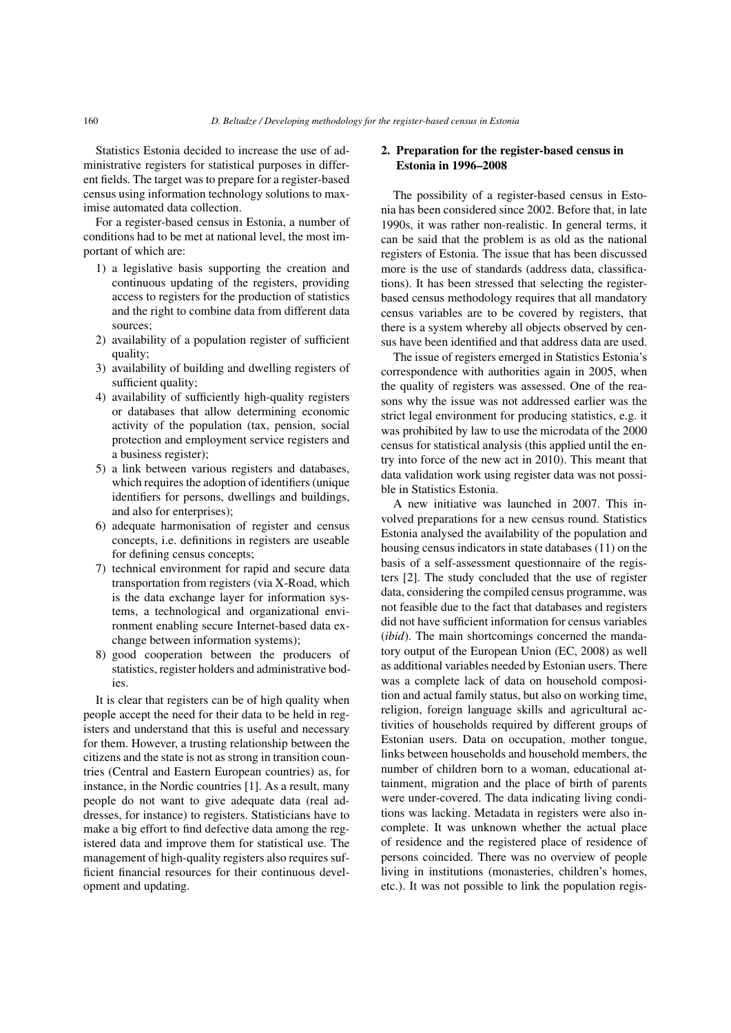Statistics Estonia decided to increase the use of administrative registers for statistical purposes in different fields. The target was to prepare for a register-based census using information technology solutions to maximise automated data collection.

For a register-based census in Estonia, a number of conditions had to be met at national level, the most important of which are:

- 1) a legislative basis supporting the creation and continuous updating of the registers, providing access to registers for the production of statistics and the right to combine data from different data sources;
- 2) availability of a population register of sufficient quality;
- 3) availability of building and dwelling registers of sufficient quality;
- 4) availability of sufficiently high-quality registers or databases that allow determining economic activity of the population (tax, pension, social protection and employment service registers and a business register);
- 5) a link between various registers and databases, which requires the adoption of identifiers (unique identifiers for persons, dwellings and buildings, and also for enterprises);
- 6) adequate harmonisation of register and census concepts, i.e. definitions in registers are useable for defining census concepts;
- 7) technical environment for rapid and secure data transportation from registers (via X-Road, which is the data exchange layer for information systems, a technological and organizational environment enabling secure Internet-based data exchange between information systems);
- 8) good cooperation between the producers of statistics, register holders and administrative bodies.

It is clear that registers can be of high quality when people accept the need for their data to be held in registers and understand that this is useful and necessary for them. However, a trusting relationship between the citizens and the state is not as strong in transition countries (Central and Eastern European countries) as, for instance, in the Nordic countries [\[1\]](#page-5-0). As a result, many people do not want to give adequate data (real addresses, for instance) to registers. Statisticians have to make a big effort to find defective data among the registered data and improve them for statistical use. The management of high-quality registers also requires sufficient financial resources for their continuous development and updating.

## 2. Preparation for the register-based census in Estonia in 1996–2008

The possibility of a register-based census in Estonia has been considered since 2002. Before that, in late 1990s, it was rather non-realistic. In general terms, it can be said that the problem is as old as the national registers of Estonia. The issue that has been discussed more is the use of standards (address data, classifications). It has been stressed that selecting the registerbased census methodology requires that all mandatory census variables are to be covered by registers, that there is a system whereby all objects observed by census have been identified and that address data are used.

The issue of registers emerged in Statistics Estonia's correspondence with authorities again in 2005, when the quality of registers was assessed. One of the reasons why the issue was not addressed earlier was the strict legal environment for producing statistics, e.g. it was prohibited by law to use the microdata of the 2000 census for statistical analysis (this applied until the entry into force of the new act in 2010). This meant that data validation work using register data was not possible in Statistics Estonia.

A new initiative was launched in 2007. This involved preparations for a new census round. Statistics Estonia analysed the availability of the population and housing census indicators in state databases (11) on the basis of a self-assessment questionnaire of the registers [\[2\]](#page-5-1). The study concluded that the use of register data, considering the compiled census programme, was not feasible due to the fact that databases and registers did not have sufficient information for census variables (*ibid*). The main shortcomings concerned the mandatory output of the European Union (EC, 2008) as well as additional variables needed by Estonian users. There was a complete lack of data on household composition and actual family status, but also on working time, religion, foreign language skills and agricultural activities of households required by different groups of Estonian users. Data on occupation, mother tongue, links between households and household members, the number of children born to a woman, educational attainment, migration and the place of birth of parents were under-covered. The data indicating living conditions was lacking. Metadata in registers were also incomplete. It was unknown whether the actual place of residence and the registered place of residence of persons coincided. There was no overview of people living in institutions (monasteries, children's homes, etc.). It was not possible to link the population regis-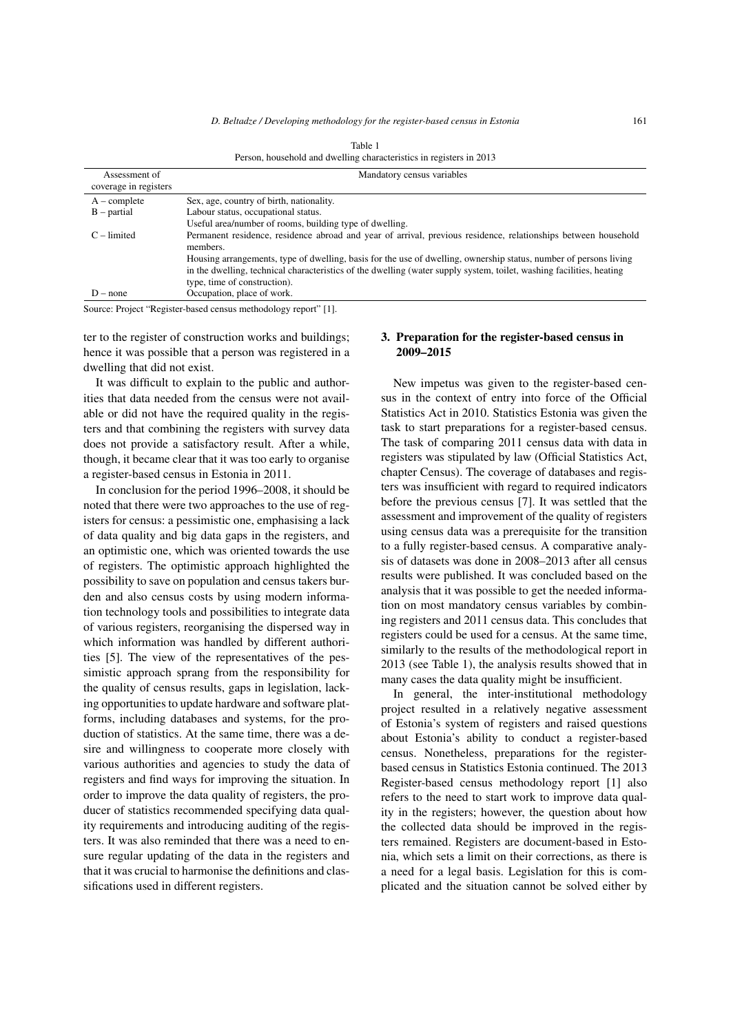<span id="page-2-0"></span>

| Person, household and dwelling characteristics in registers in 2013 |                                                                                                                            |
|---------------------------------------------------------------------|----------------------------------------------------------------------------------------------------------------------------|
| Assessment of<br>coverage in registers                              | Mandatory census variables                                                                                                 |
| $A$ – complete                                                      | Sex, age, country of birth, nationality.                                                                                   |
| $B$ – partial                                                       | Labour status, occupational status.                                                                                        |
|                                                                     | Useful area/number of rooms, building type of dwelling.                                                                    |
| $C$ – limited                                                       | Permanent residence, residence abroad and year of arrival, previous residence, relationships between household<br>members. |
|                                                                     | Housing arrangements, type of dwelling, basis for the use of dwelling, ownership status, number of persons living          |
|                                                                     | in the dwelling, technical characteristics of the dwelling (water supply system, toilet, washing facilities, heating       |
|                                                                     | type, time of construction).                                                                                               |
| $D$ – none                                                          | Occupation, place of work.                                                                                                 |

Table 1 Person, household and dwelling characteristics in registers in 2013

Source: Project "Register-based census methodology report" [\[1\]](#page-5-0).

ter to the register of construction works and buildings; hence it was possible that a person was registered in a dwelling that did not exist.

It was difficult to explain to the public and authorities that data needed from the census were not available or did not have the required quality in the registers and that combining the registers with survey data does not provide a satisfactory result. After a while, though, it became clear that it was too early to organise a register-based census in Estonia in 2011.

In conclusion for the period 1996–2008, it should be noted that there were two approaches to the use of registers for census: a pessimistic one, emphasising a lack of data quality and big data gaps in the registers, and an optimistic one, which was oriented towards the use of registers. The optimistic approach highlighted the possibility to save on population and census takers burden and also census costs by using modern information technology tools and possibilities to integrate data of various registers, reorganising the dispersed way in which information was handled by different authorities [\[5\]](#page-5-2). The view of the representatives of the pessimistic approach sprang from the responsibility for the quality of census results, gaps in legislation, lacking opportunities to update hardware and software platforms, including databases and systems, for the production of statistics. At the same time, there was a desire and willingness to cooperate more closely with various authorities and agencies to study the data of registers and find ways for improving the situation. In order to improve the data quality of registers, the producer of statistics recommended specifying data quality requirements and introducing auditing of the registers. It was also reminded that there was a need to ensure regular updating of the data in the registers and that it was crucial to harmonise the definitions and classifications used in different registers.

# 3. Preparation for the register-based census in 2009–2015

New impetus was given to the register-based census in the context of entry into force of the Official Statistics Act in 2010. Statistics Estonia was given the task to start preparations for a register-based census. The task of comparing 2011 census data with data in registers was stipulated by law (Official Statistics Act, chapter Census). The coverage of databases and registers was insufficient with regard to required indicators before the previous census [\[7\]](#page-5-3). It was settled that the assessment and improvement of the quality of registers using census data was a prerequisite for the transition to a fully register-based census. A comparative analysis of datasets was done in 2008–2013 after all census results were published. It was concluded based on the analysis that it was possible to get the needed information on most mandatory census variables by combining registers and 2011 census data. This concludes that registers could be used for a census. At the same time, similarly to the results of the methodological report in 2013 (see Table [1\)](#page-2-0), the analysis results showed that in many cases the data quality might be insufficient.

In general, the inter-institutional methodology project resulted in a relatively negative assessment of Estonia's system of registers and raised questions about Estonia's ability to conduct a register-based census. Nonetheless, preparations for the registerbased census in Statistics Estonia continued. The 2013 Register-based census methodology report [\[1\]](#page-5-0) also refers to the need to start work to improve data quality in the registers; however, the question about how the collected data should be improved in the registers remained. Registers are document-based in Estonia, which sets a limit on their corrections, as there is a need for a legal basis. Legislation for this is complicated and the situation cannot be solved either by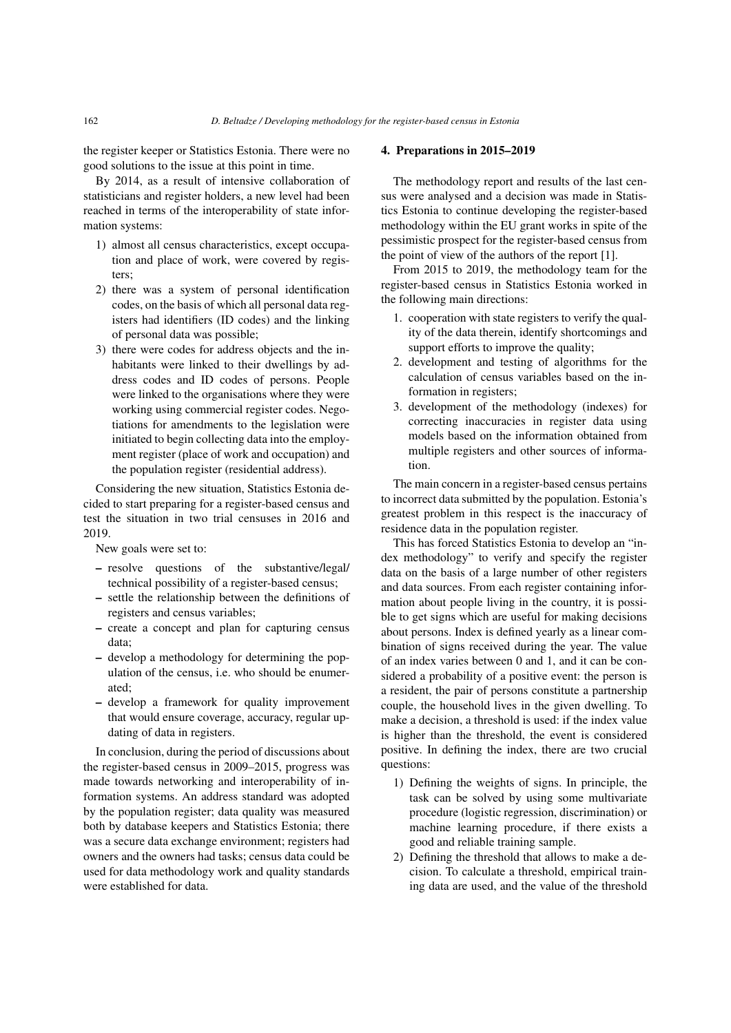the register keeper or Statistics Estonia. There were no good solutions to the issue at this point in time.

By 2014, as a result of intensive collaboration of statisticians and register holders, a new level had been reached in terms of the interoperability of state information systems:

- 1) almost all census characteristics, except occupation and place of work, were covered by registers;
- 2) there was a system of personal identification codes, on the basis of which all personal data registers had identifiers (ID codes) and the linking of personal data was possible;
- 3) there were codes for address objects and the inhabitants were linked to their dwellings by address codes and ID codes of persons. People were linked to the organisations where they were working using commercial register codes. Negotiations for amendments to the legislation were initiated to begin collecting data into the employment register (place of work and occupation) and the population register (residential address).

Considering the new situation, Statistics Estonia decided to start preparing for a register-based census and test the situation in two trial censuses in 2016 and 2019.

New goals were set to:

- resolve questions of the substantive/legal/ technical possibility of a register-based census;
- settle the relationship between the definitions of registers and census variables;
- create a concept and plan for capturing census data;
- develop a methodology for determining the population of the census, i.e. who should be enumerated;
- develop a framework for quality improvement that would ensure coverage, accuracy, regular updating of data in registers.

In conclusion, during the period of discussions about the register-based census in 2009–2015, progress was made towards networking and interoperability of information systems. An address standard was adopted by the population register; data quality was measured both by database keepers and Statistics Estonia; there was a secure data exchange environment; registers had owners and the owners had tasks; census data could be used for data methodology work and quality standards were established for data.

### 4. Preparations in 2015–2019

The methodology report and results of the last census were analysed and a decision was made in Statistics Estonia to continue developing the register-based methodology within the EU grant works in spite of the pessimistic prospect for the register-based census from the point of view of the authors of the report [\[1\]](#page-5-0).

From 2015 to 2019, the methodology team for the register-based census in Statistics Estonia worked in the following main directions:

- 1. cooperation with state registers to verify the quality of the data therein, identify shortcomings and support efforts to improve the quality;
- 2. development and testing of algorithms for the calculation of census variables based on the information in registers;
- 3. development of the methodology (indexes) for correcting inaccuracies in register data using models based on the information obtained from multiple registers and other sources of information.

The main concern in a register-based census pertains to incorrect data submitted by the population. Estonia's greatest problem in this respect is the inaccuracy of residence data in the population register.

This has forced Statistics Estonia to develop an "index methodology" to verify and specify the register data on the basis of a large number of other registers and data sources. From each register containing information about people living in the country, it is possible to get signs which are useful for making decisions about persons. Index is defined yearly as a linear combination of signs received during the year. The value of an index varies between 0 and 1, and it can be considered a probability of a positive event: the person is a resident, the pair of persons constitute a partnership couple, the household lives in the given dwelling. To make a decision, a threshold is used: if the index value is higher than the threshold, the event is considered positive. In defining the index, there are two crucial questions:

- 1) Defining the weights of signs. In principle, the task can be solved by using some multivariate procedure (logistic regression, discrimination) or machine learning procedure, if there exists a good and reliable training sample.
- 2) Defining the threshold that allows to make a decision. To calculate a threshold, empirical training data are used, and the value of the threshold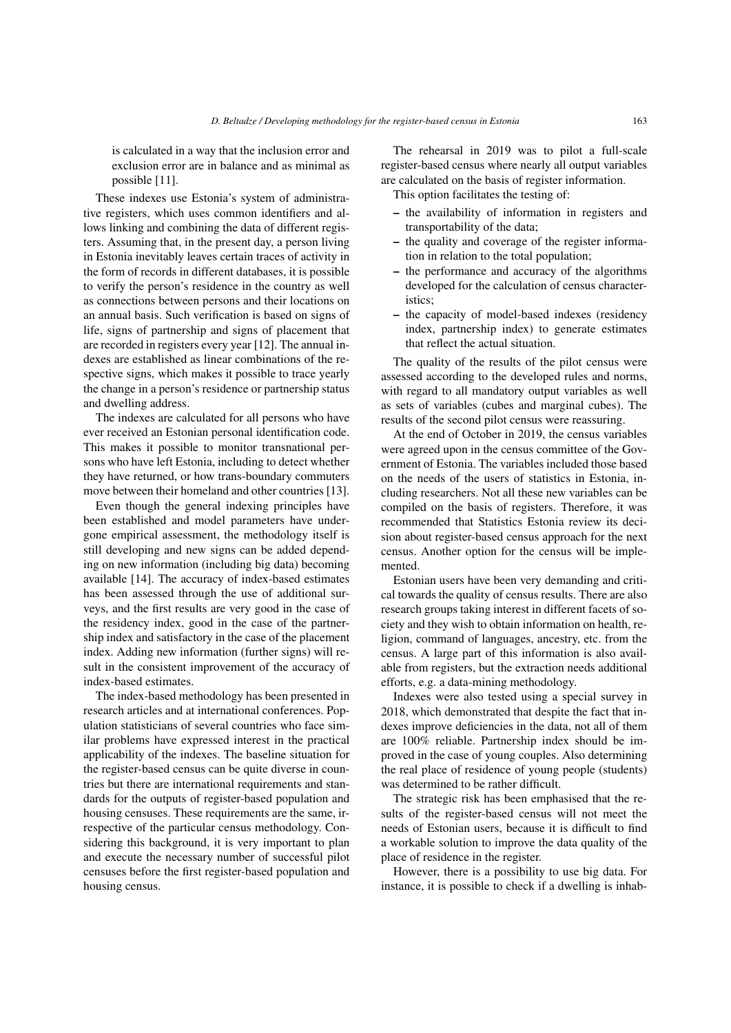is calculated in a way that the inclusion error and exclusion error are in balance and as minimal as possible [\[11\]](#page-5-4).

These indexes use Estonia's system of administrative registers, which uses common identifiers and allows linking and combining the data of different registers. Assuming that, in the present day, a person living in Estonia inevitably leaves certain traces of activity in the form of records in different databases, it is possible to verify the person's residence in the country as well as connections between persons and their locations on an annual basis. Such verification is based on signs of life, signs of partnership and signs of placement that are recorded in registers every year [\[12\]](#page-5-5). The annual indexes are established as linear combinations of the respective signs, which makes it possible to trace yearly the change in a person's residence or partnership status and dwelling address.

The indexes are calculated for all persons who have ever received an Estonian personal identification code. This makes it possible to monitor transnational persons who have left Estonia, including to detect whether they have returned, or how trans-boundary commuters move between their homeland and other countries [\[13\]](#page-5-6).

Even though the general indexing principles have been established and model parameters have undergone empirical assessment, the methodology itself is still developing and new signs can be added depending on new information (including big data) becoming available [\[14\]](#page-5-7). The accuracy of index-based estimates has been assessed through the use of additional surveys, and the first results are very good in the case of the residency index, good in the case of the partnership index and satisfactory in the case of the placement index. Adding new information (further signs) will result in the consistent improvement of the accuracy of index-based estimates.

The index-based methodology has been presented in research articles and at international conferences. Population statisticians of several countries who face similar problems have expressed interest in the practical applicability of the indexes. The baseline situation for the register-based census can be quite diverse in countries but there are international requirements and standards for the outputs of register-based population and housing censuses. These requirements are the same, irrespective of the particular census methodology. Considering this background, it is very important to plan and execute the necessary number of successful pilot censuses before the first register-based population and housing census.

The rehearsal in 2019 was to pilot a full-scale register-based census where nearly all output variables are calculated on the basis of register information.

This option facilitates the testing of:

- the availability of information in registers and transportability of the data;
- the quality and coverage of the register information in relation to the total population;
- the performance and accuracy of the algorithms developed for the calculation of census characteristics;
- the capacity of model-based indexes (residency index, partnership index) to generate estimates that reflect the actual situation.

The quality of the results of the pilot census were assessed according to the developed rules and norms, with regard to all mandatory output variables as well as sets of variables (cubes and marginal cubes). The results of the second pilot census were reassuring.

At the end of October in 2019, the census variables were agreed upon in the census committee of the Government of Estonia. The variables included those based on the needs of the users of statistics in Estonia, including researchers. Not all these new variables can be compiled on the basis of registers. Therefore, it was recommended that Statistics Estonia review its decision about register-based census approach for the next census. Another option for the census will be implemented.

Estonian users have been very demanding and critical towards the quality of census results. There are also research groups taking interest in different facets of society and they wish to obtain information on health, religion, command of languages, ancestry, etc. from the census. A large part of this information is also available from registers, but the extraction needs additional efforts, e.g. a data-mining methodology.

Indexes were also tested using a special survey in 2018, which demonstrated that despite the fact that indexes improve deficiencies in the data, not all of them are 100% reliable. Partnership index should be improved in the case of young couples. Also determining the real place of residence of young people (students) was determined to be rather difficult.

The strategic risk has been emphasised that the results of the register-based census will not meet the needs of Estonian users, because it is difficult to find a workable solution to improve the data quality of the place of residence in the register.

However, there is a possibility to use big data. For instance, it is possible to check if a dwelling is inhab